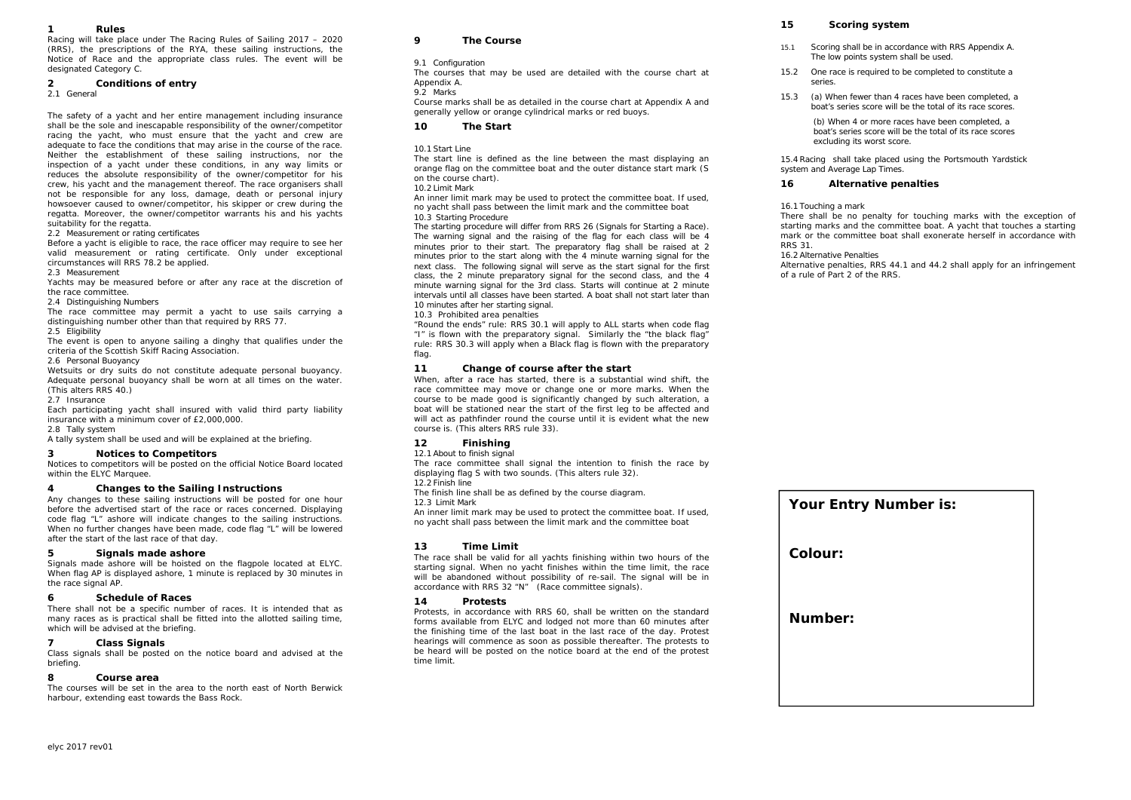#### *1Rules*

Racing will take place under The Racing Rules of Sailing 2017 – 2020 (RRS), the prescriptions of the RYA, these sailing instructions, the Notice of Race and the appropriate class rules. The event will be designated Category C.

#### *2Conditions of entry*

2.1 General

The safety of a yacht and her entire management including insurance shall be the sole and inescapable responsibility of the owner/competitor racing the yacht, who must ensure that the yacht and crew are adequate to face the conditions that may arise in the course of the race. Neither the establishment of these sailing instructions, nor the inspection of a yacht under these conditions, in any way limits or reduces the absolute responsibility of the owner/competitor for his crew, his yacht and the management thereof. The race organisers shall not be responsible for any loss, damage, death or personal injury howsoever caused to owner/competitor, his skipper or crew during the regatta. Moreover, the owner/competitor warrants his and his yachts suitability for the regatta.

2.2 Measurement or rating certificates

Before a yacht is eligible to race, the race officer may require to see her valid measurement or rating certificate. Only under exceptional circumstances will RRS 78.2 be applied.

2.3 Measurement

Yachts may be measured before or after any race at the discretion of the race committee.

2.4 Distinguishing Numbers

The race committee may permit a yacht to use sails carrying a distinguishing number other than that required by RRS 77.

2.5 Eligibility

The event is open to anyone sailing a dinghy that qualifies under the criteria of the Scottish Skiff Racing Association.

### 2.6 Personal Buoyancy

Wetsuits or dry suits do not constitute adequate personal buoyancy. Adequate personal buoyancy shall be worn at all times on the water. (This alters RRS 40.)

2.7 Insurance

Each participating yacht shall insured with valid third party liability insurance with a minimum cover of £2,000,000.

### 2.8 Tally system

A tally system shall be used and will be explained at the briefing.

### *3Notices to Competitors*

Notices to competitors will be posted on the official Notice Board located within the ELYC Marquee.

#### *4Changes to the Sailing Instructions*

Any changes to these sailing instructions will be posted for one hour before the advertised start of the race or races concerned. Displaying code flag "L" ashore will indicate changes to the sailing instructions. When no further changes have been made, code flag "L" will be lowered after the start of the last race of that day.

#### *5Signals made ashore*

Signals made ashore will be hoisted on the flagpole located at ELYC. When flag AP is displayed ashore, 1 minute is replaced by 30 minutes in the race signal AP.

### *6Schedule of Races*

There shall not be a specific number of races. It is intended that as many races as is practical shall be fitted into the allotted sailing time, which will be advised at the briefing.

#### *7Class Signals*

Class signals shall be posted on the notice board and advised at the briefing.

### *8Course area*

The courses will be set in the area to the north east of North Berwick harbour, extending east towards the Bass Rock.

#### *9The Course*

### 9.1 Configuration

The courses that may be used are detailed with the course chart at Appendix A.

### 9.2 Marks

Course marks shall be as detailed in the course chart at Appendix A and generally yellow or orange cylindrical marks or red buoys.

### *10The Start*

### 10.1 Start Line

The start line is defined as the line between the mast displaying an orange flag on the committee boat and the outer distance start mark (S on the course chart).

### 10.2 Limit Mark

An inner limit mark may be used to protect the committee boat. If used, no yacht shall pass between the limit mark and the committee boat 10.3 Starting Procedure

The starting procedure will differ from RRS 26 (Signals for Starting a Race). The warning signal and the raising of the flag for each class will be 4 minutes prior to their start. The preparatory flag shall be raised at 2 minutes prior to the start along with the 4 minute warning signal for the next class. The following signal will serve as the start signal for the first class, the 2 minute preparatory signal for the second class, and the 4 minute warning signal for the 3rd class. Starts will continue at 2 minute intervals until all classes have been started. A boat shall not start later than 10 minutes after her starting signal.

## 10.3 Prohibited area penalties

"Round the ends" rule: RRS 30.1 will apply to ALL starts when code flag "I" is flown with the preparatory signal. Similarly the "the black flag" rule: RRS 30.3 will apply when a Black flag is flown with the preparatory flag.

#### *11Change of course after the start*

When, after a race has started, there is a substantial wind shift, the race committee may move or change one or more marks. When the course to be made good is significantly changed by such alteration, a boat will be stationed near the start of the first leg to be affected and will act as pathfinder round the course until it is evident what the new course is. (This alters RRS rule 33).

### *12Finishing*

12.1 About to finish signal

The race committee shall signal the intention to finish the race by displaying flag S with two sounds. (This alters rule 32).

### 12.2 Finish line

The finish line shall be as defined by the course diagram.

12.3 Limit Mark

 An inner limit mark may be used to protect the committee boat. If used, no yacht shall pass between the limit mark and the committee boat

### *13Time Limit*

The race shall be valid for all yachts finishing within two hours of the starting signal. When no yacht finishes within the time limit, the race will be abandoned without possibility of re-sail. The signal will be in accordance with RRS 32 "N" (Race committee signals).

#### *14Protests*

Protests, in accordance with RRS 60, shall be written on the standard forms available from ELYC and lodged not more than 60 minutes after the finishing time of the last boat in the last race of the day. Protest hearings will commence as soon as possible thereafter. The protests to be heard will be posted on the notice board at the end of the protest time limit.

### *15Scoring system*

- 15.1 Scoring shall be in accordance with RRS Appendix A. The low points system shall be used.
- 15.2 One race is required to be completed to constitute a series.
- 15.3 (a) When fewer than 4 races have been completed, a boat's series score will be the total of its race scores.

(b) When 4 or more races have been completed, a boat's series score will be the total of its race scores excluding its worst score.

15.4 Racing shall take placed using the Portsmouth Yardstick system and Average Lap Times.

#### *16Alternative penalties*

### 16.1 Touching a mark

There shall be no penalty for touching marks with the exception of starting marks and the committee boat. A yacht that touches a starting mark or the committee boat shall exonerate herself in accordance with RRS 31.

### 16.2 Alternative Penalties

Alternative penalties, RRS 44.1 and 44.2 shall apply for an infringement of a rule of Part 2 of the RRS.